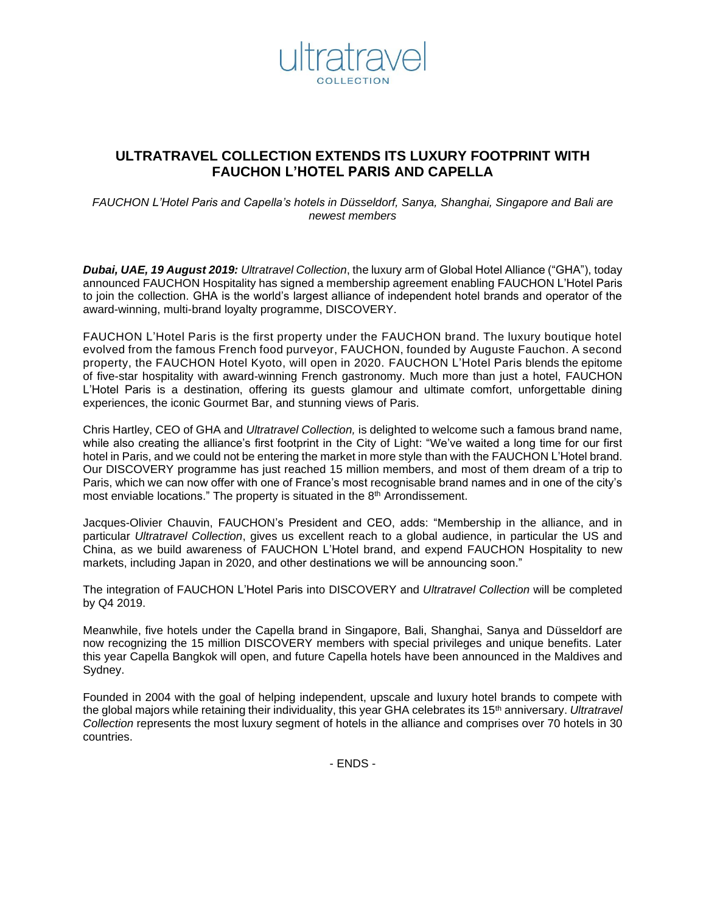

# **ULTRATRAVEL COLLECTION EXTENDS ITS LUXURY FOOTPRINT WITH FAUCHON L'HOTEL PARIS AND CAPELLA**

*FAUCHON L'Hotel Paris and Capella's hotels in Düsseldorf, Sanya, Shanghai, Singapore and Bali are newest members*

*Dubai, UAE, 19 August 2019: Ultratravel Collection*, the luxury arm of Global Hotel Alliance ("GHA"), today announced FAUCHON Hospitality has signed a membership agreement enabling FAUCHON L'Hotel Paris to join the collection. GHA is the world's largest alliance of independent hotel brands and operator of the award-winning, multi-brand loyalty programme, DISCOVERY.

FAUCHON L'Hotel Paris is the first property under the FAUCHON brand. The luxury boutique hotel evolved from the famous French food purveyor, FAUCHON, founded by Auguste Fauchon. A second property, the FAUCHON Hotel Kyoto, will open in 2020. FAUCHON L'Hotel Paris blends the epitome of five-star hospitality with award-winning French gastronomy. Much more than just a hotel, FAUCHON L'Hotel Paris is a destination, offering its guests glamour and ultimate comfort, unforgettable dining experiences, the iconic Gourmet Bar, and stunning views of Paris.

Chris Hartley, CEO of GHA and *Ultratravel Collection,* is delighted to welcome such a famous brand name, while also creating the alliance's first footprint in the City of Light: "We've waited a long time for our first hotel in Paris, and we could not be entering the market in more style than with the FAUCHON L'Hotel brand. Our DISCOVERY programme has just reached 15 million members, and most of them dream of a trip to Paris, which we can now offer with one of France's most recognisable brand names and in one of the city's most enviable locations." The property is situated in the 8<sup>th</sup> Arrondissement.

Jacques-Olivier Chauvin, FAUCHON's President and CEO, adds: "Membership in the alliance, and in particular *Ultratravel Collection*, gives us excellent reach to a global audience, in particular the US and China, as we build awareness of FAUCHON L'Hotel brand, and expend FAUCHON Hospitality to new markets, including Japan in 2020, and other destinations we will be announcing soon."

The integration of FAUCHON L'Hotel Paris into DISCOVERY and *Ultratravel Collection* will be completed by Q4 2019.

Meanwhile, five hotels under the Capella brand in Singapore, Bali, Shanghai, Sanya and Düsseldorf are now recognizing the 15 million DISCOVERY members with special privileges and unique benefits. Later this year Capella Bangkok will open, and future Capella hotels have been announced in the Maldives and Sydney.

Founded in 2004 with the goal of helping independent, upscale and luxury hotel brands to compete with the global majors while retaining their individuality, this year GHA celebrates its 15th anniversary. *Ultratravel Collection* represents the most luxury segment of hotels in the alliance and comprises over 70 hotels in 30 countries.

- ENDS -